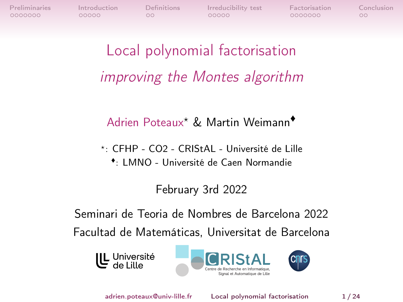0000000

 $00000$ 

 $\circ$ 

<span id="page-0-0"></span>[Preliminaries](#page-1-0) [Introduction](#page-14-0) [Definitions](#page-21-0) [Irreducibility test](#page-23-0) [Factorisation](#page-34-0) [Conclusion](#page-44-0)  $00000$ 

0000000

 $\circ$ 

Local polynomial factorisation improving the Montes algorithm

Adrien Poteaux? & Martin Weimann♦

?: CFHP - CO2 - CRIStAL - Université de Lille ♦ : LMNO - Université de Caen Normandie

February 3rd 2022

Seminari de Teoria de Nombres de Barcelona 2022 Facultad de Matemáticas, Universitat de Barcelona

U Université





adrien.poteaux@univ-lille.fr [Local polynomial factorisation](#page-51-0) 1 / 24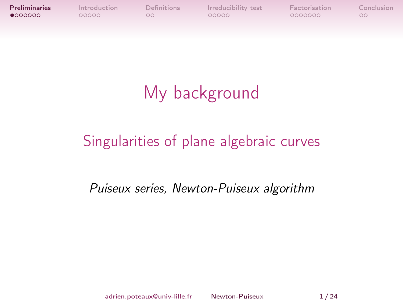<span id="page-1-0"></span>

# My background

## Singularities of plane algebraic curves

### Puiseux series, Newton-Puiseux algorithm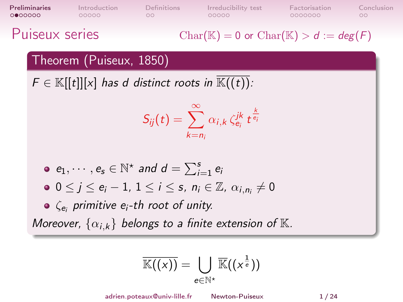| <b>Preliminaries</b> | Introduction | Definitions | Irreducibility test | Factorisation | Conclusion |
|----------------------|--------------|-------------|---------------------|---------------|------------|
| 0000000              | 00000        | nn.         | 00000               | 0000000       |            |
|                      |              |             |                     |               |            |

Puiseux series

$$
Char(\mathbb{K}) = 0 \text{ or } Char(\mathbb{K}) > d := deg(F)
$$

#### Theorem (Puiseux, 1850)

 $F \in \mathbb{K}[[t]][x]$  has d distinct roots in  $\mathbb{K}((t))$ :

$$
S_{ij}(t) = \sum_{k=n_i}^{\infty} \alpha_{i,k} \, \zeta_{e_i}^{jk} \, t^{\frac{k}{e_i}}
$$

• 
$$
e_1, \cdots, e_s \in \mathbb{N}^*
$$
 and  $d = \sum_{i=1}^s e_i$ 

$$
\bullet \ \ 0 \leq j \leq e_i-1, \ 1 \leq i \leq s, \ n_i \in \mathbb{Z}, \ \alpha_{i,n_i} \neq 0
$$

 $\zeta_{\bm{e}_i}$  primitive  $\bm{e}_i$ -th root of unity.

Moreover,  $\{\alpha_{i,k}\}\$  belongs to a finite extension of  $\mathbb K$ .

$$
\overline{\mathbb{K}((x))} = \bigcup_{e \in \mathbb{N}^{\star}} \overline{\mathbb{K}}((x^{\frac{1}{e}}))
$$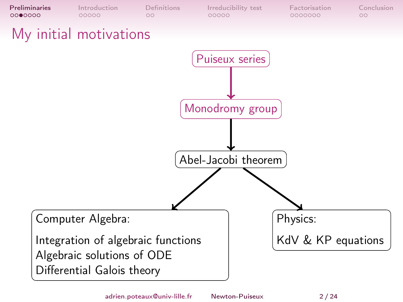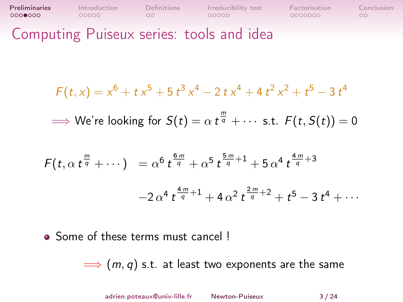| <b>Preliminaries</b> | Introduction | <b>Definitions</b> | Irreducibility test | Factorisation | Conclusion |
|----------------------|--------------|--------------------|---------------------|---------------|------------|
| 0000000              | 00000        | OO.                | 00000               | 0000000       |            |

Computing Puiseux series: tools and idea

$$
F(t,x) = x^6 + tx^5 + 5t^3x^4 - 2tx^4 + 4t^2x^2 + t^5 - 3t^4
$$

 $\Longrightarrow$  We're looking for  $S(t)=\alpha \ t^{\frac{m}{q}}+\cdots$  s.t.  $F(t,S(t))=0$ 

$$
F(t, \alpha t^{\frac{m}{q}} + \cdots) = \alpha^{6} t^{\frac{6m}{q}} + \alpha^{5} t^{\frac{5m}{q}+1} + 5 \alpha^{4} t^{\frac{4m}{q}+3}
$$

$$
-2 \alpha^{4} t^{\frac{4m}{q}+1} + 4 \alpha^{2} t^{\frac{2m}{q}+2} + t^{5} - 3 t^{4} + \cdots
$$

• Some of these terms must cancel !

 $\implies$   $(m, q)$  s.t. at least two exponents are the same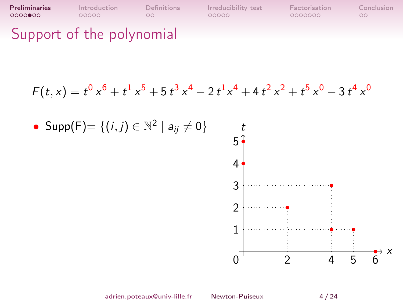[Preliminaries](#page-1-0) [Introduction](#page-14-0) [Definitions](#page-21-0) [Irreducibility test](#page-23-0) [Factorisation](#page-34-0) [Conclusion](#page-44-0) Support of the polynomial

$$
F(t,x) = t^0 x^6 + t^1 x^5 + 5 t^3 x^4 - 2 t^1 x^4 + 4 t^2 x^2 + t^5 x^0 - 3 t^4 x^0
$$

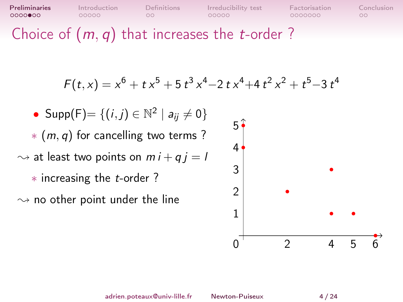Choice of  $(m, q)$  that increases the *t*-order ?

$$
F(t,x) = x^6 + tx^5 + 5t^3x^4 - 2tx^4 + 4t^2x^2 + t^5 - 3t^4
$$

• Supp(F) = { $(i, j) \in \mathbb{N}^2 \mid a_{ij} \neq 0$ } ∗ (m, q) for cancelling two terms ?  $\rightsquigarrow$  at least two points on  $mi + qi = l$ ∗ increasing the t-order ? 3 4  $5<sup>1</sup>$ 

 $\rightsquigarrow$  no other point under the line

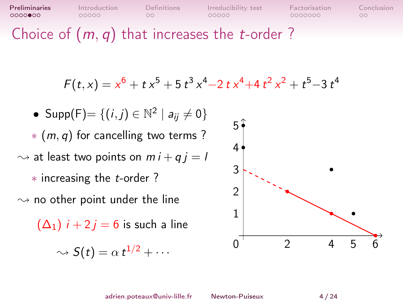**[Preliminaries](#page-1-0)** [Introduction](#page-14-0) [Definitions](#page-21-0) Irreducibility-test [Factorisation](#page-34-0) [Conclusion](#page-44-0) 0000000

Choice of  $(m, q)$  that increases the *t*-order ?

$$
F(t,x) = x^6 + tx^5 + 5t^3x^4 - 2tx^4 + 4t^2x^2 + t^5 - 3t^4
$$

• Supp(F)=  $\{(i,j) \in \mathbb{N}^2 \mid a_{ij} \neq 0\}$ ∗ (m, q) for cancelling two terms ?  $\rightsquigarrow$  at least two points on  $mi + qi = l$ ∗ increasing the t-order ?  $\rightsquigarrow$  no other point under the line

 $(\Delta_1)$   $i + 2i = 6$  is such a line

$$
\sim S(t) = \alpha t^{1/2} + \cdots
$$



adrien.poteaux@univ-lille.fr [Newton-Puiseux](#page-0-0) 4 / 24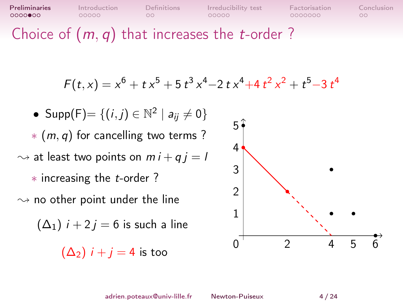**[Preliminaries](#page-1-0)** [Introduction](#page-14-0) [Definitions](#page-21-0) Irreducibility-test [Factorisation](#page-34-0) [Conclusion](#page-44-0) 0000000

Choice of  $(m, q)$  that increases the *t*-order ?

$$
F(t,x) = x^6 + tx^5 + 5t^3x^4 - 2tx^4 + 4t^2x^2 + t^5 - 3t^4
$$

• Supp(F)=  $\{(i,j) \in \mathbb{N}^2 \mid a_{ij} \neq 0\}$ ∗ (m, q) for cancelling two terms ?  $\rightsquigarrow$  at least two points on  $mi + qi = l$ ∗ increasing the t-order ?  $\rightsquigarrow$  no other point under the line  $(\Delta_1)$   $i + 2i = 6$  is such a line  $(\Delta_2)$  *i* + *j* = 4 is too 0 1 2 3 4 5

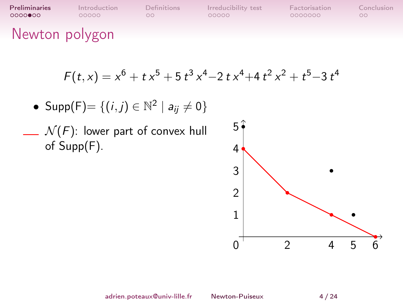| <b>Preliminaries</b> | Introduction | <b>Definitions</b> | Irreducibility test | Factorisation | Conclusion |
|----------------------|--------------|--------------------|---------------------|---------------|------------|
| 00000000             | COOOO.       | OO.                | 00000               | 0000000       | $\circ$    |
| Newton polygon       |              |                    |                     |               |            |

$$
F(t,x) = x^6 + tx^5 + 5t^3x^4 - 2tx^4 + 4t^2x^2 + t^5 - 3t^4
$$

• 
$$
Supp(F) = \{(i, j) \in \mathbb{N}^2 \mid a_{ij} \neq 0\}
$$

 $\mathcal{N}(F)$ : lower part of convex hull of Supp(F).

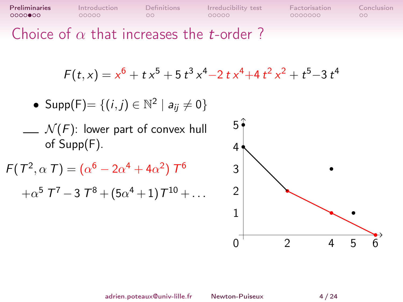| Preliminaries |  |
|---------------|--|
| ੦੦੦੦●੦੦       |  |

Choice of  $\alpha$  that increases the *t*-order ?

$$
F(t,x) = x^6 + tx^5 + 5t^3x^4 - 2tx^4 + 4t^2x^2 + t^5 - 3t^4
$$

• 
$$
Supp(F) = \{(i,j) \in \mathbb{N}^2 \mid a_{ij} \neq 0\}
$$

 $\Box$   $\mathcal{N}(F)$ : lower part of convex hull of Supp(F).

```
F(T^2, \alpha T) = (\alpha^6 - 2\alpha^4 + 4\alpha^2) T^6+\alpha^5 \; 7^7 - 3 \; 7^8 + (5 \alpha^4 + 1) \, 7^{10} + \ldots
```
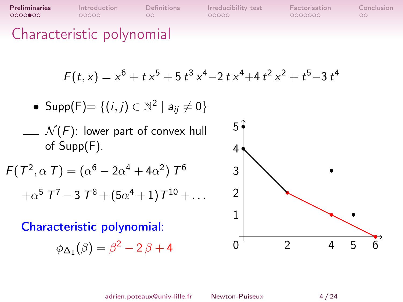Characteristic polynomial

$$
F(t,x) = x^6 + tx^5 + 5t^3x^4 - 2tx^4 + 4t^2x^2 + t^5 - 3t^4
$$

• 
$$
Supp(F)=\{(i,j)\in\mathbb{N}^2\mid a_{ij}\neq 0\}
$$

 $\Box$   $\mathcal{N}(F)$ : lower part of convex hull of Supp(F).

$$
F(T^2, \alpha T) = (\alpha^6 - 2\alpha^4 + 4\alpha^2) T^6
$$
  
+ $\alpha^5 T^7 - 3T^8 + (5\alpha^4 + 1)T^{10} + ...$ 

Characteristic polynomial:

$$
\phi_{\Delta_1}(\beta) = \beta^2 - 2\beta + 4 \qquad \qquad 0
$$



adrien.poteaux@univ-lille.fr [Newton-Puiseux](#page-0-0) 4 / 24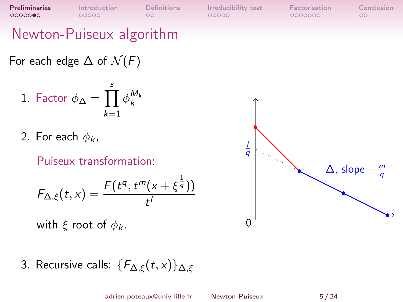### Newton-Puiseux algorithm

### For each edge  $\Delta$  of  $\mathcal{N}(F)$

1. Factor 
$$
\phi_{\Delta} = \prod_{k=1}^{s} \phi_k^{M_k}
$$

2. For each  $\phi_k$ ,

Puiseux transformation:

$$
\mathcal{F}_{\Delta,\xi}(t,x)=\frac{\mathcal{F}(t^q,t^m(x+\xi^{\frac{1}{q}}))}{t^l}
$$

with  $\xi$  root of  $\phi_k$ .

3. Recursive calls:  ${F_{\Delta,\xi}(t,x)}_{\Delta,\xi}$ 

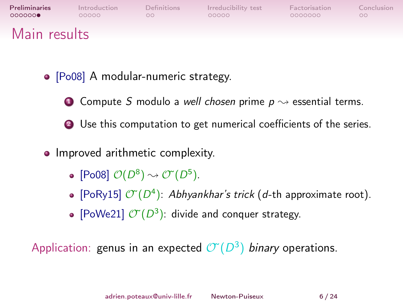| Preliminaries | Introduction | Definitions | Irreducibility test | Factorisation | Conclusion |
|---------------|--------------|-------------|---------------------|---------------|------------|
| 000000        | 00000        | nn          | 00000               | 0000000       | $\circ$    |
| Main results  |              |             |                     |               |            |

- [Po08] A modular-numeric strategy.
	- **1** Compute S modulo a well chosen prime  $p \rightsquigarrow$  essential terms.

<sup>2</sup> Use this computation to get numerical coefficients of the series.

- Improved arithmetic complexity.
	- [Po08]  $\mathcal{O}(D^8) \rightsquigarrow \mathcal{O}^*(D^5)$ .
	- [PoRy15]  $\mathcal{O}(D^4)$ : Abhyankhar's trick (d-th approximate root).
	- [PoWe21]  $\mathcal{O}(D^3)$ : divide and conquer strategy.

Application: genus in an expected  $\mathcal{O}(D^3)$  binary operations.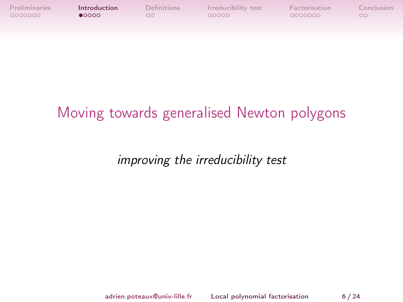<span id="page-14-0"></span>

| Preliminaries | Introduction | <b>Definitions</b> | Irreducibility test | Factorisation | Conclusion |
|---------------|--------------|--------------------|---------------------|---------------|------------|
| 0000000       | 0000         | nn                 | 00000               | 0000000       |            |

### Moving towards generalised Newton polygons

improving the irreducibility test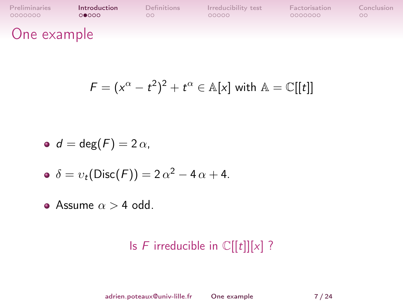| Preliminaries | Introduction | Definitions | Irreducibility test | Factorisation | Conclusion |
|---------------|--------------|-------------|---------------------|---------------|------------|
| 0000000       | 00000        | nn.         | 00000               | 0000000       | $\circ$    |
| One example   |              |             |                     |               |            |

$$
F = (x^{\alpha} - t^2)^2 + t^{\alpha} \in \mathbb{A}[x]
$$
 with  $\mathbb{A} = \mathbb{C}[[t]]$ 

$$
\bullet \ \ d=\deg(F)=2\,\alpha,
$$

$$
\bullet \ \delta = v_t(\text{Disc}(F)) = 2\alpha^2 - 4\alpha + 4.
$$

Assume  $\alpha > 4$  odd.

### Is  $F$  irreducible in  $\mathbb{C}[[t]][x]$  ?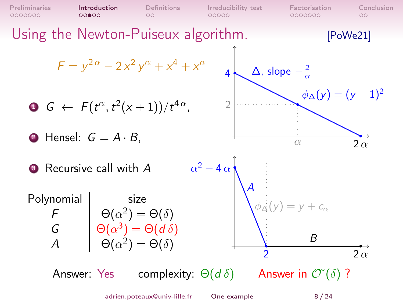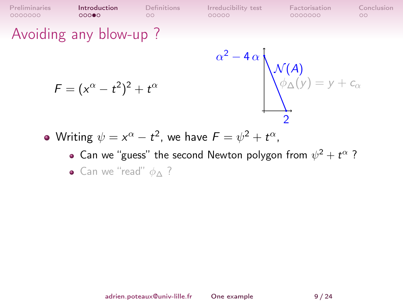$\circ$ 

### Avoiding any blow-up ?

$$
F=(x^{\alpha}-t^2)^2+t^{\alpha}
$$



- Writing  $\psi = x^\alpha t^2$ , we have  $\mathcal{F} = \psi^2 + t^\alpha$ ,
	- Can we "guess" the second Newton polygon from  $\psi^2 + t^{\alpha}$  ?
	- Can we "read"  $\phi \wedge ?$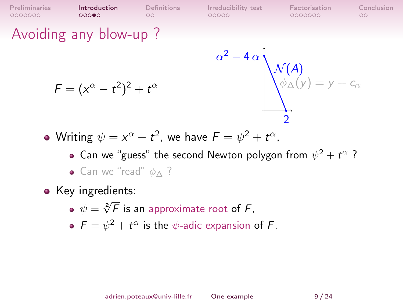$000$ Avoiding any blow-up ?

$$
F=(x^{\alpha}-t^2)^2+t^{\alpha}
$$

$$
\alpha^{2}-4\alpha \sqrt{\mathcal{N}(A) \over \phi_{\Delta}(y)} = y + c_{\alpha}
$$

0000000

 $\circ$ 

Writing  $\psi = x^\alpha - t^2$ , we have  $\mathcal{F} = \psi^2 + t^\alpha$ ,

Can we "guess" the second Newton polygon from  $\psi^2 + t^{\alpha}$  ?  $\bullet$  Can we "read"  $\phi \wedge ?$ 

[Preliminaries](#page-1-0) [Introduction](#page-14-0) [Definitions](#page-21-0) [Irreducibility test](#page-23-0) [Factorisation](#page-34-0) [Conclusion](#page-44-0)

 $00000$ 

- Key ingredients:
	- $\psi = \sqrt[2]{F}$  is an approximate root of  $F$ ,
	- $F = \psi^2 + t^{\alpha}$  is the  $\psi$ -adic expansion of F.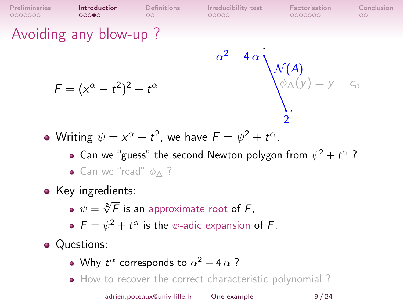$000$ Avoiding any blow-up ?

0000000

$$
F=(x^{\alpha}-t^2)^2+t^{\alpha}
$$

$$
x^{2}-4\alpha \sqrt{\mathcal{N}(A) \over \phi_{\Delta}(y)} = y + c_{\alpha}
$$

0000000

 $\circ$ 

Writing  $\psi = x^\alpha - t^2$ , we have  $\mathcal{F} = \psi^2 + t^\alpha$ ,

 $\circ$ 

Can we "guess" the second Newton polygon from  $\psi^2 + t^{\alpha}$  ?  $\bullet$  Can we "read"  $\phi \wedge ?$ 

α

 $00000$ 

[Preliminaries](#page-1-0) **[Introduction](#page-14-0)** [Definitions](#page-21-0) [Irreducibility test](#page-23-0) [Factorisation](#page-34-0) [Conclusion](#page-44-0)

- Key ingredients:
	- $\psi = \sqrt[2]{F}$  is an approximate root of  $F$ ,
	- $F = \psi^2 + t^{\alpha}$  is the  $\psi$ -adic expansion of F.
- Questions:
	- Why  $t^{\alpha}$  corresponds to  $\alpha^2 4\alpha$  ?
	- How to recover the correct characteristic polynomial?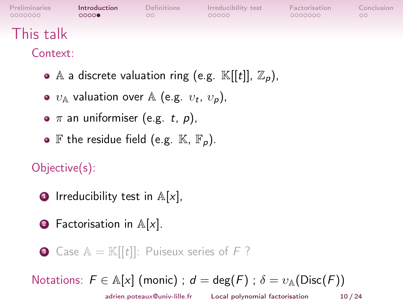| Preliminaries<br>0000000 | <b>Introduction</b><br>0000 | Definitions<br>OΟ | Irreducibility test<br>00000 | Factorisation<br>0000000 | Conclusion<br>$\circ$ |
|--------------------------|-----------------------------|-------------------|------------------------------|--------------------------|-----------------------|
| This talk                |                             |                   |                              |                          |                       |
|                          |                             |                   |                              |                          |                       |

Context:

- A a discrete valuation ring (e.g.  $\mathbb{K}[[t]], \mathbb{Z}_{p}),$
- $v_{\mathbb{A}}$  valuation over  $\mathbb{A}$  (e.g.  $v_t$ ,  $v_p$ ),
- $\bullet \pi$  an uniformiser (e.g. t, p),
- $\bullet$  F the residue field (e.g.  $\mathbb{K}, \mathbb{F}_n$ ).

Objective(s):

- **•** Irreducibility test in  $A[x]$ ,
- **2** Factorisation in  $\mathbb{A}[x]$ .

**3** Case  $A = K[[t]]$ : Puiseux series of F?

Notations:  $F \in A[x]$  (monic);  $d = \deg(F)$ ;  $\delta = \nu_A(\text{Disc}(F))$ 

adrien.poteaux@univ-lille.fr [Local polynomial factorisation](#page-0-0) 10 / 24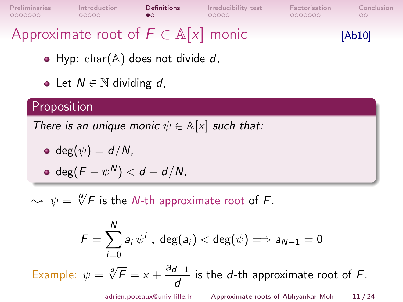<span id="page-21-0"></span>

| Preliminaries                                   | Introduction | <b>Definitions</b> | Irreducibility test | Factorisation | Conclusion |
|-------------------------------------------------|--------------|--------------------|---------------------|---------------|------------|
| 0000000                                         | 00000        |                    | 00000               | 0000000       | 00         |
| Approximate root of $F \in \mathbb{A}[x]$ monic |              |                    |                     |               | [Ab10]     |

- Hyp:  $char(A)$  does not divide d,
- Let  $N \in \mathbb{N}$  dividing d,

#### Proposition

There is an unique monic  $\psi \in \mathbb{A}[x]$  such that:

• 
$$
\deg(\psi) = d/N,
$$

$$
\bullet \ \deg(F-\psi^N)
$$

 $\rightsquigarrow \psi = \sqrt[N]{F}$  is the N-th approximate root of  $F.$ 

$$
\digamma = \sum_{i=0}^N a_i \, \psi^i \ , \ \deg(a_i) < \deg(\psi) \Longrightarrow a_{N-1} = 0
$$

Example:  $\psi = \sqrt[d]{F} = x + \frac{a_{d-1}}{I}$  $\frac{d-1}{d}$  is the d-th approximate root of F.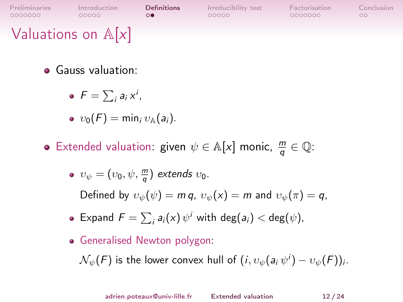[Preliminaries](#page-1-0) [Introduction](#page-14-0) [Definitions](#page-21-0) [Irreducibility test](#page-23-0) [Factorisation](#page-34-0) [Conclusion](#page-44-0)<br>0000000 00000 00000 000000 000000 000  $\circ$  $00000$ 0000000  $\circ$ Valuations on  $\mathbb{A}[x]$ 

- **•** Gauss valuation:
	- $F = \sum_i a_i x^i$ ,
	- $v_0(F) = \min_i v_{\mathbb{A}}(a_i).$
- Extended valuation: given  $\psi \in \mathbb{A}[x]$  monic,  $\frac{m}{q} \in \mathbb{Q}$ :

• 
$$
v_{\psi} = (v_0, \psi, \frac{m}{q})
$$
 extends  $v_0$ .

Defined by  $v_{\psi}(\psi) = m q$ ,  $v_{\psi}(x) = m$  and  $v_{\psi}(\pi) = q$ ,

- Expand  $F = \sum_i a_i(x) \psi^i$  with  $\deg(a_i) < \deg(\psi)$ ,
- Generalised Newton polygon:

 $\mathcal{N}_{\psi}(F)$  is the lower convex hull of  $(i, v_{\psi}(a_i \, \psi^i) - v_{\psi}(F))_i.$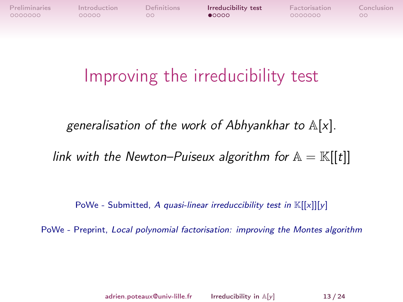<span id="page-23-0"></span>

 $\circ$ 

# Improving the irreducibility test

generalisation of the work of Abhyankhar to  $\mathbb{A}[x]$ .

link with the Newton–Puiseux algorithm for  $\mathbb{A} = \mathbb{K}[[t]]$ 

PoWe - Submitted, A quasi-linear irreduccibility test in  $\mathbb{K}[[x]][y]$ 

PoWe - Preprint, Local polynomial factorisation: improving the Montes algorithm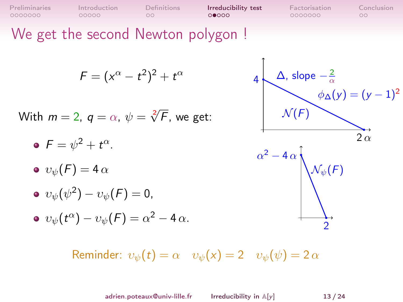| Preliminaries | Introduction | <b>Definitions</b> | Irreducibility test | Factorisation | Conclusion |
|---------------|--------------|--------------------|---------------------|---------------|------------|
| 0000000       | 00000        | nn                 | 00000               | 0000000       |            |

 $\uparrow$ 

We get the second Newton polygon!

$$
F=(x^{\alpha}-t^2)^2+t^{\alpha}
$$

With  $m=2, q=\alpha, \, \psi=\sqrt[2]{F}$ , we get:

$$
\bullet \ \ F = \psi^2 + t^{\alpha}.
$$

$$
\bullet\ v_\psi(F)=4\,\alpha
$$

$$
\bullet \ \ v_{\psi}(\psi^2)-v_{\psi}(F)=0,
$$

$$
\bullet \ \ v_{\psi}(t^{\alpha}) - v_{\psi}(F) = \alpha^{2} - 4 \alpha.
$$

4  
\n
$$
\Delta
$$
, slope  $-\frac{2}{\alpha}$   
\n $\phi_{\Delta}(y) = (y - 1)^2$   
\n $\alpha^2 - 4\alpha$   
\n $\sqrt{\phi_{\psi}(F)}$ 

2

Reminder:  $v_{\psi}(t) = \alpha \quad v_{\psi}(x) = 2 \quad v_{\psi}(\psi) = 2 \alpha$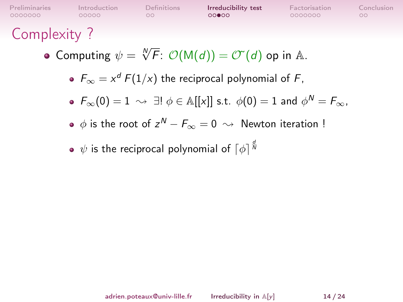| Preliminaries | Introduction | <b>Definitions</b> | Irreducibility test | Factorisation | Conclusion |
|---------------|--------------|--------------------|---------------------|---------------|------------|
| 0000000       | 00000        | nn.                | 00000               | 0000000       | nn.        |
|               |              |                    |                     |               |            |

### Complexity ?

- Computing  $\psi = \sqrt[N]{F}$ :  $\mathcal{O}(\mathsf{M}(d)) = \mathcal{O}(\sqrt[d]{d})$  op in A.
	- $F_{\infty} = x^d F(1/x)$  the reciprocal polynomial of F,
	- $\mathit{F}_{\infty}(0)=1\,\rightsquigarrow\,\exists!\,\, \phi\in \mathbb{A}[[x]]$  s.t.  $\phi(0)=1$  and  $\phi^N=\mathit{F}_{\infty}$ ,
	- $\phi$  is the root of  $z^{\mathsf{N}} F_\infty = 0 \, \rightsquigarrow \,$  Newton iteration !
	- $\psi$  is the reciprocal polynomial of  $\lceil \phi \rceil^{\frac{d}{h}}$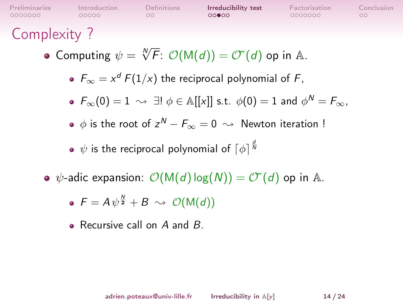| Preliminaries | Introduction | <b>Definitions</b> | Irreducibility test | Factorisation | Conclusion |
|---------------|--------------|--------------------|---------------------|---------------|------------|
| 0000000       | 00000        | nn.                | 00000               | 0000000       | nn.        |
|               |              |                    |                     |               |            |

### Complexity ?

- Computing  $\psi = \sqrt[N]{F}$ :  $\mathcal{O}(\mathsf{M}(d)) = \mathcal{O}(\sqrt[d]{d})$  op in A.
	- $F_{\infty} = x^d F(1/x)$  the reciprocal polynomial of F,
	- $\mathit{F}_{\infty}(0)=1\,\rightsquigarrow\,\exists!\,\, \phi\in \mathbb{A}[[x]]$  s.t.  $\phi(0)=1$  and  $\phi^N=\mathit{F}_{\infty}$ ,
	- $\phi$  is the root of  $z^{\mathsf{N}} F_\infty = 0 \, \rightsquigarrow \,$  Newton iteration !
	- $\psi$  is the reciprocal polynomial of  $\lceil \phi \rceil^{\frac{d}{h}}$
- $\phi$ -adic expansion:  $\mathcal{O}(M(d) \log(N)) = \mathcal{O}(d)$  op in A.

$$
\bullet \ \mathsf{F} = \mathsf{A} \,\psi^{\frac{N}{2}} + \mathsf{B} \ \rightsquigarrow \ \mathcal{O}(\mathsf{M}(d))
$$

• Recursive call on A and B.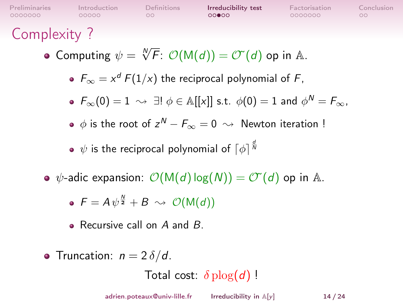| Preliminaries | Introduction | <b>Definitions</b> | Irreducibility test | Factorisation | Conclusion |
|---------------|--------------|--------------------|---------------------|---------------|------------|
| 0000000       | 00000        | OO.                | 00000               | 0000000       | OO.        |
|               |              |                    |                     |               |            |

Complexity ?

- Computing  $\psi = \sqrt[N]{F}$ :  $\mathcal{O}(\mathsf{M}(d)) = \mathcal{O}(\sqrt[d]{d})$  op in A.
	- $F_{\infty} = x^d F(1/x)$  the reciprocal polynomial of F,
	- $\mathit{F}_{\infty}(0)=1\,\rightsquigarrow\,\exists!\,\, \phi\in \mathbb{A}[[x]]$  s.t.  $\phi(0)=1$  and  $\phi^N=\mathit{F}_{\infty}$ ,
	- $\phi$  is the root of  $z^{\mathsf{N}} F_\infty = 0 \, \rightsquigarrow \,$  Newton iteration !
	- $\psi$  is the reciprocal polynomial of  $\lceil \phi \rceil^{\frac{d}{h}}$
- $\phi$ -adic expansion:  $\mathcal{O}(M(d) \log(N)) = \mathcal{O}(d)$  op in A.

$$
\bullet \ \mathsf{F} = \mathsf{A} \,\psi^{\frac{N}{2}} + \mathsf{B} \ \rightsquigarrow \ \mathcal{O}(\mathsf{M}(d))
$$

- Recursive call on  $A$  and  $B$ .
- Truncation:  $n = 2 \delta/d$ .

Total cost:  $\delta$  plog(d)!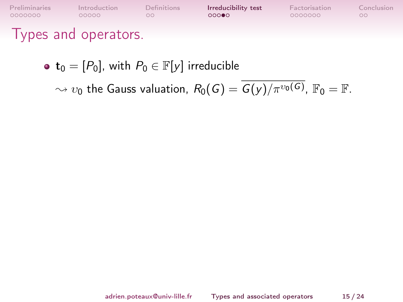| Preliminaries        | Introduction | Definitions | Irreducibility test | Factorisation | Conclusion |
|----------------------|--------------|-------------|---------------------|---------------|------------|
| 0000000              | 00000        | OO.         | 00000               | 0000000       | $\circ$    |
| Types and operators. |              |             |                     |               |            |

•  $t_0 = [P_0]$ , with  $P_0 \in \mathbb{F}[y]$  irreducible

 $\sim v_0$  the Gauss valuation,  $R_0(\mathit{G}) = \mathit{G}(y) / \pi^{v_0(\mathit{G})}$ ,  $\mathbb{F}_0 = \mathbb{F}.$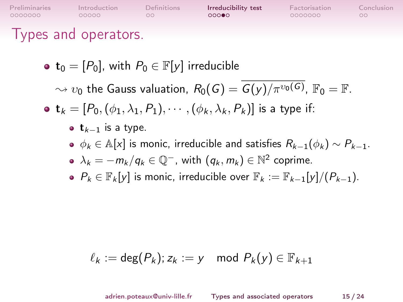| Preliminaries        | Introduction | Definitions | Irreducibility test | Factorisation | Conclusion |
|----------------------|--------------|-------------|---------------------|---------------|------------|
| 0000000              | 00000        | nn.         | 00000               | COQOQOQ       | oc         |
| Types and operators. |              |             |                     |               |            |

• 
$$
\mathbf{t}_0 = [P_0]
$$
, with  $P_0 \in \mathbb{F}[y]$  irreducible

 $\sim v_0$  the Gauss valuation,  $R_0(\mathit{G}) = \mathit{G}(y) / \pi^{v_0(\mathit{G})}$ ,  $\mathbb{F}_0 = \mathbb{F}.$ 

•  $\mathbf{t}_k = [P_0, (\phi_1, \lambda_1, P_1), \cdots, (\phi_k, \lambda_k, P_k)]$  is a type if:

- $t_{k-1}$  is a type.
- $\phi_k \in \mathbb{A}[x]$  is monic, irreducible and satisfies  $R_{k-1}(\phi_k) \sim P_{k-1}$ .

• 
$$
\lambda_k = -m_k/q_k \in \mathbb{Q}^-
$$
, with  $(q_k, m_k) \in \mathbb{N}^2$  coprime.

• 
$$
P_k \in \mathbb{F}_k[y]
$$
 is monic, irreducible over  $\mathbb{F}_k := \mathbb{F}_{k-1}[y]/(P_{k-1})$ .

$$
\ell_k := \deg(P_k); z_k := y \mod P_k(y) \in \mathbb{F}_{k+1}
$$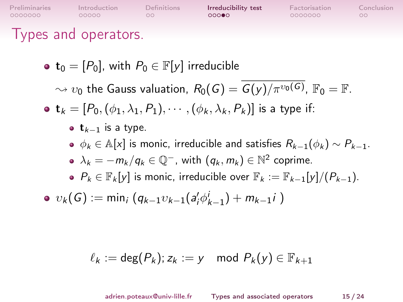| <b>Preliminaries</b><br>0000000 | Introduction<br>00000                                               | <b>Definitions</b><br>$\circ$ | Irreducibility test<br>00000 | Factorisation<br>0000000 | Conclusion<br>00 |
|---------------------------------|---------------------------------------------------------------------|-------------------------------|------------------------------|--------------------------|------------------|
|                                 | Types and operators.                                                |                               |                              |                          |                  |
|                                 | • $\mathbf{t}_0 = [P_0]$ , with $P_0 \in \mathbb{F}[y]$ irreducible |                               |                              |                          |                  |

 $\sim v_0$  the Gauss valuation,  $R_0(\mathit{G}) = \mathit{G}(y) / \pi^{v_0(\mathit{G})}$ ,  $\mathbb{F}_0 = \mathbb{F}.$ 

• 
$$
\mathbf{t}_k = [P_0, (\phi_1, \lambda_1, P_1), \cdots, (\phi_k, \lambda_k, P_k)]
$$
 is a type if:

• 
$$
\mathbf{t}_{k-1}
$$
 is a type.

 $\phi_k \in \mathbb{A}[x]$  is monic, irreducible and satisfies  $R_{k-1}(\phi_k) \sim P_{k-1}$ .

• 
$$
\lambda_k = -m_k/q_k \in \mathbb{Q}^-
$$
, with  $(q_k, m_k) \in \mathbb{N}^2$  coprime.

•  $P_k \in \mathbb{F}_k[y]$  is monic, irreducible over  $\mathbb{F}_k := \mathbb{F}_{k-1}[y]/(P_{k-1})$ .

$$
\bullet \ \ v_{k}(G) := \min_{i} \left( q_{k-1} v_{k-1}(a'_{i} \phi_{k-1}^{i}) + m_{k-1} i \right)
$$

$$
\ell_k := \deg(P_k); z_k := y \mod P_k(y) \in \mathbb{F}_{k+1}
$$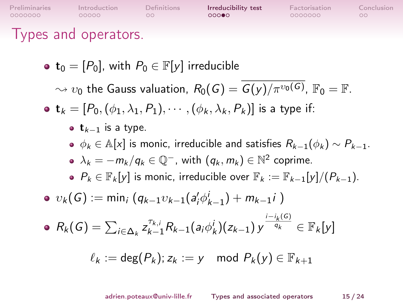[Preliminaries](#page-1-0) [Introduction](#page-14-0) [Definitions](#page-21-0) [Irreducibility test](#page-23-0) [Factorisation](#page-34-0) [Conclusion](#page-44-0)  $00000$  $\circ$  $00000$ 0000000  $\circ$ Types and operators. •  $t_0 = [P_0]$ , with  $P_0 \in \mathbb{F}[y]$  irreducible  $\sim v_0$  the Gauss valuation,  $R_0(\mathit{G}) = \mathit{G}(y)/\pi^{v_0(\mathit{G})}$ ,  $\mathbb{F}_0 = \mathbb{F}.$ •  $\mathbf{t}_k = [P_0, (\phi_1, \lambda_1, P_1), \cdots, (\phi_k, \lambda_k, P_k)]$  is a type if: •  $t_{k-1}$  is a type.  $\phi_k \in \mathbb{A}[x]$  is monic, irreducible and satisfies  $R_{k-1}(\phi_k) \sim P_{k-1}$ .  $\lambda_k = -m_k/q_k \in \mathbb{Q}^-$ , with  $(q_k, m_k) \in \mathbb{N}^2$  coprime. •  $P_k \in \mathbb{F}_k[y]$  is monic, irreducible over  $\mathbb{F}_k := \mathbb{F}_{k-1}[y]/(P_{k-1})$ .  $v_k(G) := \min_i (q_{k-1}v_{k-1}(a'_i\phi_{k-1}^i) + m_{k-1}i)$  $\mathcal{K}_{k-1}^{\tau_{k,i}} R_{k-1}(\mathsf{a}_i \phi^i_k) (z_{k-1}) \, y^{\frac{i-i_k(G)}{q_k}} \in \mathbb{F}_k[\mathsf{y}]$  $R_k(G) = \sum_{i \in \Delta_k} z_{k-i}^{\tau_{k,i}}$  $\ell_k := \deg(P_k)$ ;  $z_k := v \mod P_k(v) \in \mathbb{F}_{k+1}$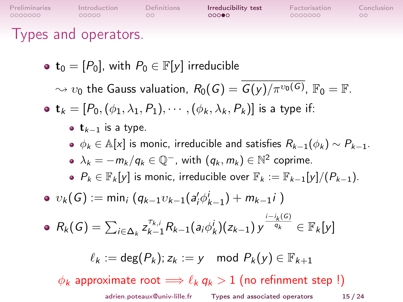| Preliminaries<br>0000000 | Introduction<br>00000                                               | Definitions<br>OO | Irreducibility test<br>റററ⊜റ                                                                                                                                                                                                                                                                                   | Factorisation<br>0000000 | Conclusion<br>$\circ$ |
|--------------------------|---------------------------------------------------------------------|-------------------|----------------------------------------------------------------------------------------------------------------------------------------------------------------------------------------------------------------------------------------------------------------------------------------------------------------|--------------------------|-----------------------|
|                          | Types and operators.                                                |                   |                                                                                                                                                                                                                                                                                                                |                          |                       |
|                          | • $\mathbf{t}_0 = [P_0]$ , with $P_0 \in \mathbb{F}[y]$ irreducible |                   |                                                                                                                                                                                                                                                                                                                |                          |                       |
|                          |                                                                     |                   | $\sim v_0$ the Gauss valuation, $R_0(G) = G(\gamma)/\pi^{v_0(G)}$ , $\mathbb{F}_0 = \mathbb{F}$ .                                                                                                                                                                                                              |                          |                       |
|                          |                                                                     |                   | • $\mathbf{t}_k = [P_0, (\phi_1, \lambda_1, P_1), \cdots, (\phi_k, \lambda_k, P_k)]$ is a type if:                                                                                                                                                                                                             |                          |                       |
|                          | • $t_{k-1}$ is a type.                                              |                   | $\bullet \phi_k \in \mathbb{A}[x]$ is monic, irreducible and satisfies $R_{k-1}(\phi_k) \sim P_{k-1}$ .<br>• $\lambda_k = -m_k/q_k \in \mathbb{Q}^-$ , with $(q_k, m_k) \in \mathbb{N}^2$ coprime.<br>• $P_k \in \mathbb{F}_k[y]$ is monic, irreducible over $\mathbb{F}_k := \mathbb{F}_{k-1}[y]/(P_{k-1})$ . |                          |                       |
|                          |                                                                     |                   | • $v_k(G) := \min_i (q_{k-1}v_{k-1}(a_i'\phi_{k-1}') + m_{k-1}i)$                                                                                                                                                                                                                                              |                          |                       |
|                          |                                                                     |                   | • $R_k(G) = \sum_{i \in \Delta_k} z_{k-1}^{\tau_{k,i}} R_{k-1}(a_i \phi_k^i)(z_{k-1}) y^{\frac{i-i_k(G)}{q_k}} \in \mathbb{F}_k[y]$                                                                                                                                                                            |                          |                       |
|                          |                                                                     |                   | $\ell_k := \deg(P_k)$ ; $z_k := y \mod P_k(y) \in \mathbb{F}_{k+1}$                                                                                                                                                                                                                                            |                          |                       |
|                          |                                                                     |                   | $\phi_k$ approximate root $\Longrightarrow \ell_k q_k > 1$ (no refinment step !)                                                                                                                                                                                                                               |                          |                       |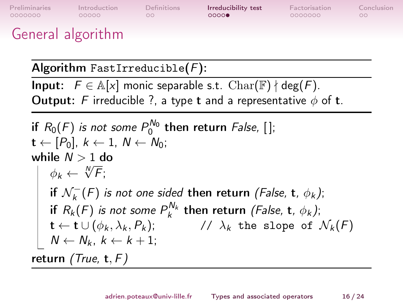| Preliminaries     | Introduction | Definitions | Irreducibility test | Factorisation | Conclusion |
|-------------------|--------------|-------------|---------------------|---------------|------------|
| 0000000           | 00000        | OO.         | 0000                | 0000000       | $\circ$    |
| General algorithm |              |             |                     |               |            |

Algorithm FastIrreducible $(F)$ :

**Input:**  $F \in \mathbb{A}[x]$  monic separable s.t.  $\text{Char}(\mathbb{F}) \nmid \text{deg}(F)$ . Output: F irreducible ?, a type t and a representative  $\phi$  of t.

\n if 
$$
R_0(F)
$$
 is not some  $P_0^{N_0}$  then return  $False$ , [];\n  $\mathbf{t} \leftarrow [P_0]$ ,  $k \leftarrow 1$ ,  $N \leftarrow N_0$ ;\n while  $N > 1$  do\n  $\phi_k \leftarrow \sqrt[N]{F}$ ;\n if  $\mathcal{N}_k^-(F)$  is not one sided then return  $(False, \mathbf{t}, \phi_k)$ ;\n if  $R_k(F)$  is not some  $P_k^{N_k}$  then return  $(False, \mathbf{t}, \phi_k)$ ;\n  $\mathbf{t} \leftarrow \mathbf{t} \cup (\phi_k, \lambda_k, P_k)$ ;\n //  $\lambda_k$  the slope of  $\mathcal{N}_k(F)$  return  $(True, \mathbf{t}, F)$ \n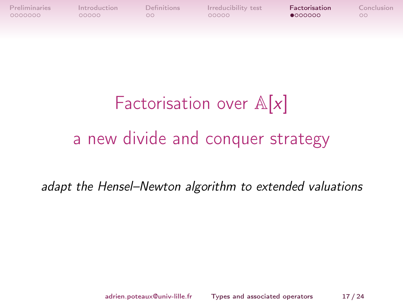<span id="page-34-0"></span>

**[Preliminaries](#page-1-0) [Introduction](#page-14-0) [Definitions](#page-21-0) [Irreducibility test](#page-23-0) [Factorisation](#page-34-0) [Conclusion](#page-44-0)**<br>00000000 00000 00000 00000 00000 00000 00

# Factorisation over  $\mathbb{A}[x]$ a new divide and conquer strategy

adapt the Hensel–Newton algorithm to extended valuations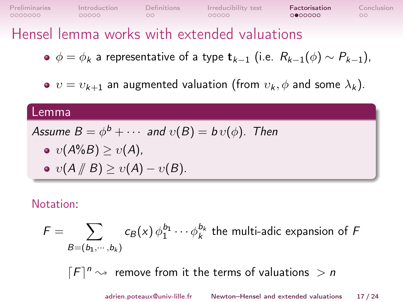### Hensel lemma works with extended valuations

- $\phi = \phi_k$  a representative of a type  $\mathbf{t}_{k-1}$  (i.e.  $R_{k-1}(\phi) \sim P_{k-1}$ ),
- $v = v_{k+1}$  an augmented valuation (from  $v_k$ ,  $\phi$  and some  $\lambda_k$ ).

#### Lemma

Assume 
$$
B = \phi^b + \cdots
$$
 and  $v(B) = bv(\phi)$ . Then

$$
\bullet \ \ v(A\%B) \geq v(A),
$$

$$
\bullet \; v(A \mathbin{/\!\!/} B) \geq v(A) - v(B).
$$

#### Notation:

$$
F = \sum_{B=(b_1,\dots,b_k)} c_B(x) \phi_1^{b_1} \cdots \phi_k^{b_k}
$$
 the multi-adic expansion of F

 $[F]^{n} \rightarrow$  remove from it the terms of valuations  $> n$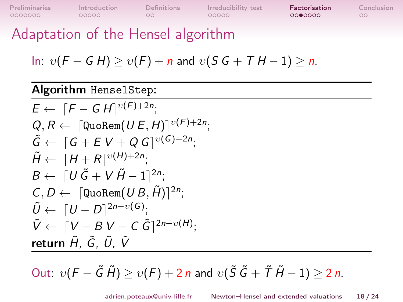[Preliminaries](#page-1-0) [Introduction](#page-14-0) [Definitions](#page-21-0) [Irreducibility test](#page-23-0) **[Factorisation](#page-34-0)** [Conclusion](#page-44-0)<br>0000000 00000 00000 000000 000000 00

Adaptation of the Hensel algorithm

In: 
$$
v(F - G H) \ge v(F) + n
$$
 and  $v(S G + T H - 1) \ge n$ .

#### Algorithm HenselStep:

$$
E \leftarrow [F - G H]^{v(F)+2n};
$$
  
\n
$$
Q, R \leftarrow [\text{Quolem}(U E, H)]^{v(F)+2n};
$$
  
\n
$$
\tilde{G} \leftarrow [G + E V + Q G]^{v(G)+2n};
$$
  
\n
$$
\tilde{H} \leftarrow [H + R]^{v(H)+2n};
$$
  
\n
$$
B \leftarrow [U \tilde{G} + V \tilde{H} - 1]^{2n};
$$
  
\n
$$
\tilde{U} \leftarrow [U - D]^{2n-v(G)};
$$
  
\n
$$
\tilde{V} \leftarrow [V - B V - C \tilde{G}]^{2n-v(H)};
$$
  
\nreturn  $\tilde{H}, \tilde{G}, \tilde{U}, \tilde{V}$ 

Out:  $v(F - \tilde{G} \tilde{H}) \ge v(F) + 2n$  and  $v(\tilde{S} \tilde{G} + \tilde{T} \tilde{H} - 1) \ge 2n$ .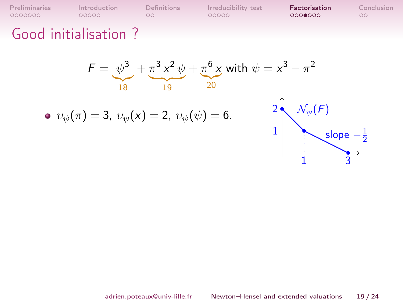[Preliminaries](#page-1-0) [Introduction](#page-14-0) [Definitions](#page-21-0) [Irreducibility test](#page-23-0) **[Factorisation](#page-34-0)** [Conclusion](#page-44-0)<br>00000000 00000 00000 000000 000000 00

### Good initialisation ?

$$
F = \underbrace{\psi^3}_{18} + \underbrace{\pi^3 x^2 \psi}_{19} + \underbrace{\pi^6 x}_{20} \text{ with } \psi = x^3 - \pi^2
$$

• 
$$
v_{\psi}(\pi) = 3
$$
,  $v_{\psi}(x) = 2$ ,  $v_{\psi}(\psi) = 6$ .

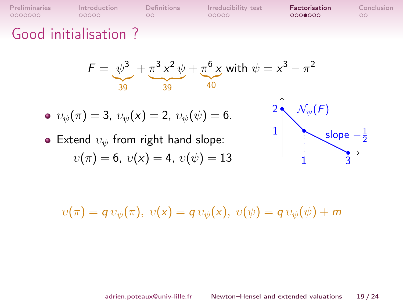[Preliminaries](#page-1-0) [Introduction](#page-14-0) [Definitions](#page-21-0) [Irreducibility test](#page-23-0) **[Factorisation](#page-34-0)** [Conclusion](#page-44-0)<br>00000000 00000 00000 000000 000000 00

### Good initialisation ?

$$
F = \underbrace{\psi^3}_{39} + \underbrace{\pi^3 x^2 \psi}_{39} + \underbrace{\pi^6 x}_{40} \text{ with } \psi = x^3 - \pi^2
$$

• 
$$
v_{\psi}(\pi) = 3
$$
,  $v_{\psi}(x) = 2$ ,  $v_{\psi}(\psi) = 6$ .

• Extend  $v_{\psi}$  from right hand slope:  $v(\pi) = 6$ ,  $v(x) = 4$ ,  $v(\psi) = 13$ 



 $v(\pi) = q v_{\psi}(\pi), v(x) = q v_{\psi}(x), v(\psi) = q v_{\psi}(\psi) + m$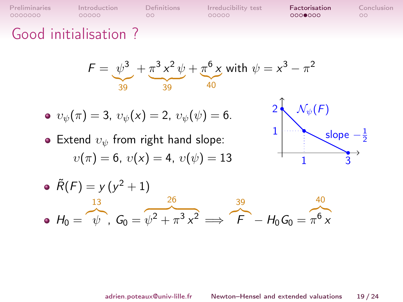[Preliminaries](#page-1-0) [Introduction](#page-14-0) [Definitions](#page-21-0) Irreducibility test **[Factorisation](#page-34-0)** [Conclusion](#page-44-0)<br>00000000 00000 00000 000000 000000 000

### Good initialisation ?

$$
F = \underbrace{\psi^3}_{39} + \underbrace{\pi^3 x^2 \psi}_{39} + \underbrace{\pi^6 x}_{40} \text{ with } \psi = x^3 - \pi^2
$$

• 
$$
v_{\psi}(\pi) = 3
$$
,  $v_{\psi}(x) = 2$ ,  $v_{\psi}(\psi) = 6$ .

• Extend  $v_{\psi}$  from right hand slope:  $v(\pi) = 6$ ,  $v(x) = 4$ ,  $v(\psi) = 13$ 



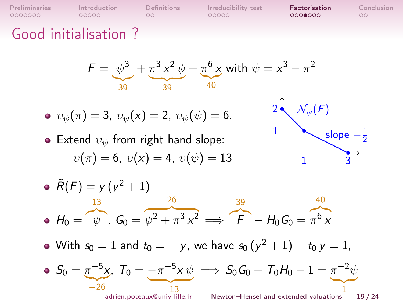[Preliminaries](#page-1-0) [Introduction](#page-14-0) [Definitions](#page-21-0) Irreducibility test **[Factorisation](#page-34-0)** [Conclusion](#page-44-0)<br>00000000 00000 00000 000000 000000 000

 $\circ$ 

### Good initialisation ?

$$
F = \underbrace{\psi^3}_{39} + \underbrace{\pi^3 x^2 \psi}_{39} + \underbrace{\pi^6 x}_{40} \text{ with } \psi = x^3 - \pi^2
$$

• 
$$
v_{\psi}(\pi) = 3
$$
,  $v_{\psi}(x) = 2$ ,  $v_{\psi}(\psi) = 6$ .

• Extend  $v_{\psi}$  from right hand slope:  $v(\pi) = 6$ ,  $v(x) = 4$ ,  $v(\psi) = 13$ 



- $\tilde{R}(F) = y (y^2 + 1)$  $H_0 =$ 13  $\omega$ ,  $G_0 =$ 26  $\sqrt{v^2 + \pi^3 x^2} \implies$ 39  $F - H_0 G_0 =$ 40  $\pi^6$  x
- With  $s_0=1$  and  $t_0=-\,$ y, we have  $s_0\,(y^2+1)+t_0\,y=1$ ,

• 
$$
S_0 = \pi^{-5} x
$$
,  $T_0 = \frac{-\pi^{-5} x \psi}{13}$   $\implies S_0 G_0 + T_0 H_0 - 1 = \pi^{-2} \psi$ 

 $\sum_{i}$ 1 adrien.poteaux@univ-lille.fr [Newton–Hensel and extended valuations](#page-0-0) 19 / 24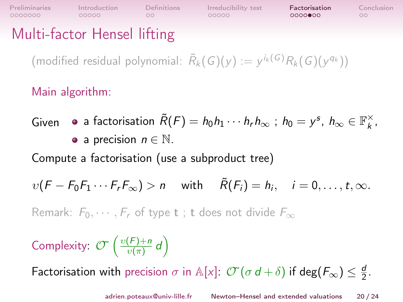$\circ$ 

**[Preliminaries](#page-1-0) [Introduction](#page-14-0) [Definitions](#page-21-0) [Irreducibility test](#page-23-0) [Factorisation](#page-34-0) [Conclusion](#page-44-0)**<br>00000000 00000 00000 00000 00000 0000**000** 00

 $00000000$ 

 $\circ$ 

### Multi-factor Hensel lifting

(modified residual polynomial:  $\widetilde{R}_k(G)(y) := y^{i_k(G)} R_k(G)(y^{q_k})$ )

Main algorithm:

Given 
$$
\bullet
$$
 a factorisation  $\tilde{R}(F) = h_0 h_1 \cdots h_r h_\infty$ ;  $h_0 = y^s$ ,  $h_\infty \in \mathbb{F}_k^\times$ ,  $\bullet$  a precision  $n \in \mathbb{N}$ .

Compute a factorisation (use a subproduct tree)

$$
v(F - F_0F_1 \cdots F_rF_\infty) > n
$$
 with  $\tilde{R}(F_i) = h_i$ ,  $i = 0, \ldots, t, \infty$ .

Remark:  $F_0, \dots, F_r$  of type **t** ; **t** does not divide  $F_{\infty}$ 

Complexity:  $\mathcal{O}(\sqrt{\frac{v(F)+n}{v(\pi)}})$  $\frac{(F)+n}{\upsilon(\pi)}d$ 

Factorisation with precision  $\sigma$  in A[x]:  $\mathcal{O}(\sigma d + \delta)$  if deg( $F_{\infty}$ )  $\leq \frac{d}{2}$  $\frac{d}{2}$ .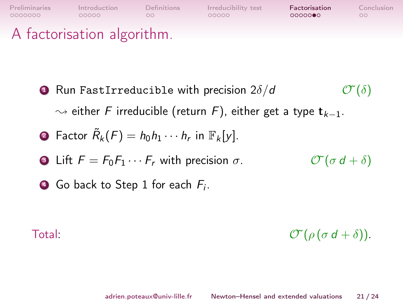

<span id="page-42-0"></span> Run FastIrreducible with precision  $2\delta/d$   $\mathcal{O}(\delta)$  $\rightsquigarrow$  either F irreducible (return F), either get a type  $t_{k-1}$ . Factor  $\tilde{R}_k(F) = h_0 h_1 \cdots h_r$  in  $\mathbb{F}_k[y]$ . Lift  $F = F_0F_1 \cdots F_r$  with precision  $\sigma$ .  $\mathcal{O}(\sigma d + \delta)$ 

**4)** Go back to Step [1](#page-42-0) for each  $F_i$ .

Total:  $\mathcal{O}(\rho(\sigma d + \delta)).$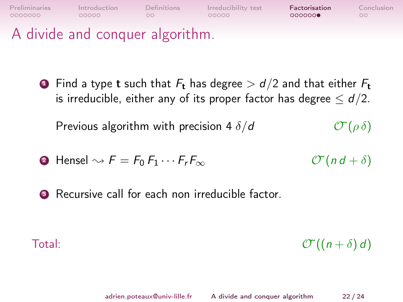

A divide and conquer algorithm.

**1** Find a type **t** such that  $F_t$  has degree  $> d/2$  and that either  $F_t$ is irreducible, either any of its proper factor has degree  $\leq d/2$ .

Previous algorithm with precision 4  $\delta/d$   $\mathcal{O}(\rho \delta)$ 

• Hensel 
$$
\rightsquigarrow
$$
  $F = F_0 F_1 \cdots F_r F_\infty$   $\mathcal{T}(nd + \delta)$ 

<sup>3</sup> Recursive call for each non irreducible factor.

Total:  $\mathcal{O}((n+\delta)d)$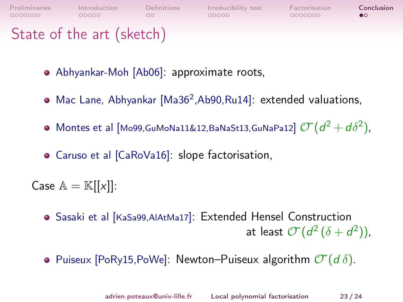<span id="page-44-0"></span>

| <b>Preliminaries</b>      | Introduction | Definitions | Irreducibility test | Factorisation | Conclusion |
|---------------------------|--------------|-------------|---------------------|---------------|------------|
| 0000000                   | 00000        |             | 00000               | 0000000       | $\bullet$  |
| State of the art (sketch) |              |             |                     |               |            |

- Abhyankar-Moh [Ab06]: approximate roots,
- Mac Lane, Abhyankar [Ma36<sup>2</sup>,Ab90,Ru14]: extended valuations,
- <code>Montes</code> et al [Mo99,GuMoNa11&12,BaNaSt13,GuNaPa12]  $\mathcal{O}(d^2+d\delta^2)$ ,
- Caruso et al [CaRoVa16]: slope factorisation,

Case  $\mathbb{A} = \mathbb{K}[[x]]$ :

- Sasaki et al [KaSa99,AlAtMa17]: Extended Hensel Construction at least  $\mathcal{O}(d^2(\delta+d^2))$ ,
- Puiseux [PoRy15,PoWe]: Newton–Puiseux algorithm  $\mathcal{O}(d \delta)$ .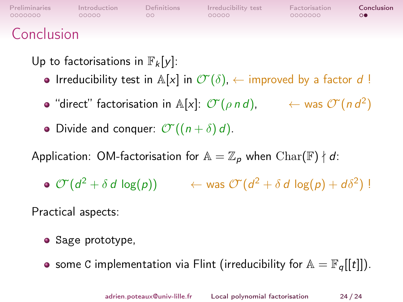| Preliminaries               | Introduction | Definitions | Irreducibility test | Factorisation | Conclusion |
|-----------------------------|--------------|-------------|---------------------|---------------|------------|
| 0000000                     | COOOO        | OO.         | 00000               | 0000000       | $\Omega$   |
| $\sim$ $\sim$ $\sim$ $\sim$ |              |             |                     |               |            |

#### Conclusion

Up to factorisations in  $\mathbb{F}_k[y]$ :

- Irreducibility test in  $\mathbb{A}[x]$  in  $\mathbb{C}(\delta)$ ,  $\leftarrow$  improved by a factor d!
- "direct" factorisation in A[x]:  $\mathcal{O}(\rho \, n \, d)$ ,  $\qquad \leftarrow$  was  $\mathcal{O}(\rho \, d^2)$
- Divide and conquer:  $\mathcal{O}((n+\delta)d)$ .

Application: OM-factorisation for  $\mathbb{A} = \mathbb{Z}_p$  when  $\text{Char}(\mathbb{F}) \nmid d$ :

 $\mathcal{O}^{\ast}(d^2+\delta\,d\,\log(p))\qquad \ \leftarrow \mathsf{was} \; \mathcal{O}^{\ast}(d^2+\delta\,d\,\log(p)+d\delta^2) \; !$ 

Practical aspects:

- **•** Sage prototype,
- some C implementation via Flint (irreducibility for  $\mathbb{A} = \mathbb{F}_q[[t]]$ ).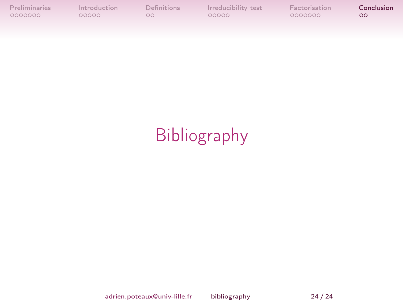[Preliminaries](#page-1-0) [Introduction](#page-14-0) [Definitions](#page-21-0) [Irreducibility test](#page-23-0) [Factorisation](#page-34-0) [Conclusion](#page-44-0)<br>0000000 00000 00000 000000 000000 00

# Bibliography

adrien.poteaux@univ-lille.fr [bibliography](#page-0-0) 24 / 24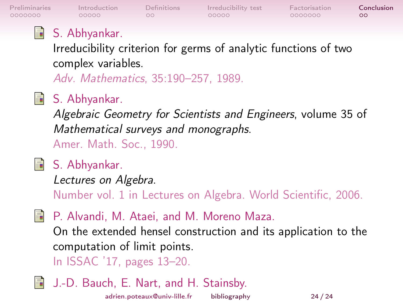0000000

 $00000$ 

 $\circ$ 

[Preliminaries](#page-1-0) [Introduction](#page-14-0) [Definitions](#page-21-0) [Irreducibility test](#page-23-0) [Factorisation](#page-34-0) [Conclusion](#page-44-0)  $00000$ 

0000000

 $\circ$ 

### S. Abhyankar.

Irreducibility criterion for germs of analytic functions of two complex variables.

Adv. Mathematics, 35:190–257, 1989.

### S. Abhyankar.

Algebraic Geometry for Scientists and Engineers, volume 35 of Mathematical surveys and monographs. Amer. Math. Soc., 1990.

### **■ S. Abhyankar.**

Lectures on Algebra.

Number vol. 1 in Lectures on Algebra. World Scientific, 2006.

**P.** Alvandi, M. Ataei, and M. Moreno Maza.

On the extended hensel construction and its application to the computation of limit points.

In ISSAC '17, pages 13–20.

J.-D. Bauch, E. Nart, and H. Stainsby.

adrien.poteaux@univ-lille.fr [bibliography](#page-0-0) 24 / 24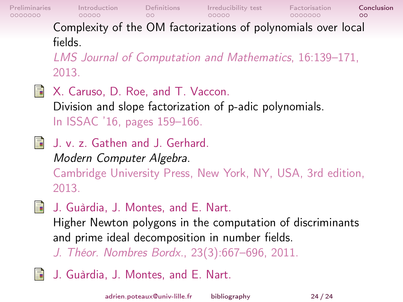[Preliminaries](#page-1-0) [Introduction](#page-14-0) [Definitions](#page-21-0) [Irreducibility test](#page-23-0) [Factorisation](#page-34-0) **[Conclusion](#page-44-0)** 0000000  $\circ$ Complexity of the OM factorizations of polynomials over local fields. LMS Journal of Computation and Mathematics, 16:139–171,

2013.

- X. Caruso, D. Roe, and T. Vaccon. 歸 Division and slope factorization of p-adic polynomials. In ISSAC '16, pages 159–166.
- J. v. z. Gathen and J. Gerhard. Modern Computer Algebra. Cambridge University Press, New York, NY, USA, 3rd edition, 2013.
- **J.** Guàrdia, J. Montes, and E. Nart.

Higher Newton polygons in the computation of discriminants and prime ideal decomposition in number fields.

J. Théor. Nombres Bordx., 23(3):667–696, 2011.

J. Guàrdia, J. Montes, and E. Nart. ā.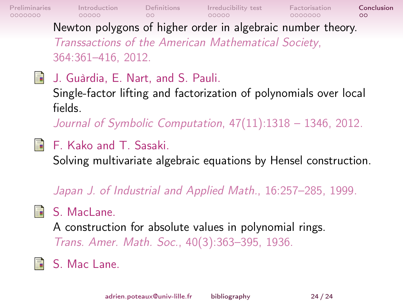[Preliminaries](#page-1-0) [Introduction](#page-14-0) [Definitions](#page-21-0) [Irreducibility test](#page-23-0) [Factorisation](#page-34-0) **[Conclusion](#page-44-0)** 0000000  $\circ$ Newton polygons of higher order in algebraic number theory. Transsactions of the American Mathematical Society, 364:361–416, 2012.

**J.** Guàrdia, E. Nart, and S. Pauli. Single-factor lifting and factorization of polynomials over local fields.

Journal of Symbolic Computation, 47(11):1318 – 1346, 2012.

F. Kako and T. Sasaki.

Solving multivariate algebraic equations by Hensel construction.

Japan J. of Industrial and Applied Math., 16:257–285, 1999.

**B** S. MacLane.

A construction for absolute values in polynomial rings. Trans. Amer. Math. Soc., 40(3):363–395, 1936.

S. Mac Lane.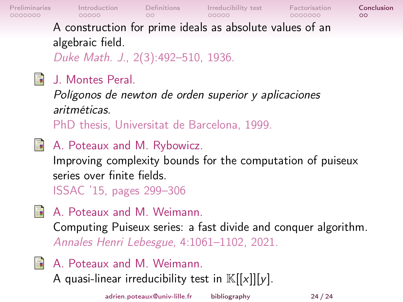0000000

[Preliminaries](#page-1-0) [Introduction](#page-14-0) [Definitions](#page-21-0) [Irreducibility test](#page-23-0) [Factorisation](#page-34-0) [Conclusion](#page-44-0)

0000000

 $\circ$ 

A construction for prime ideals as absolute values of an algebraic field.

Duke Math. J., 2(3):492–510, 1936.

**国** J. Montes Peral.

Polígonos de newton de orden superior y aplicaciones aritméticas.

PhD thesis, Universitat de Barcelona, 1999.

- A. Poteaux and M. Rybowicz. Improving complexity bounds for the computation of puiseux series over finite fields. ISSAC '15, pages 299–306
- A. Poteaux and M. Weimann.

Computing Puiseux series: a fast divide and conquer algorithm. Annales Henri Lebesgue, 4:1061–1102, 2021.

**A.** Poteaux and M. Weimann.

A quasi-linear irreducibility test in  $\mathbb{K}[[x]][y]$ .

adrien.poteaux@univ-lille.fr [bibliography](#page-0-0) 24 / 24